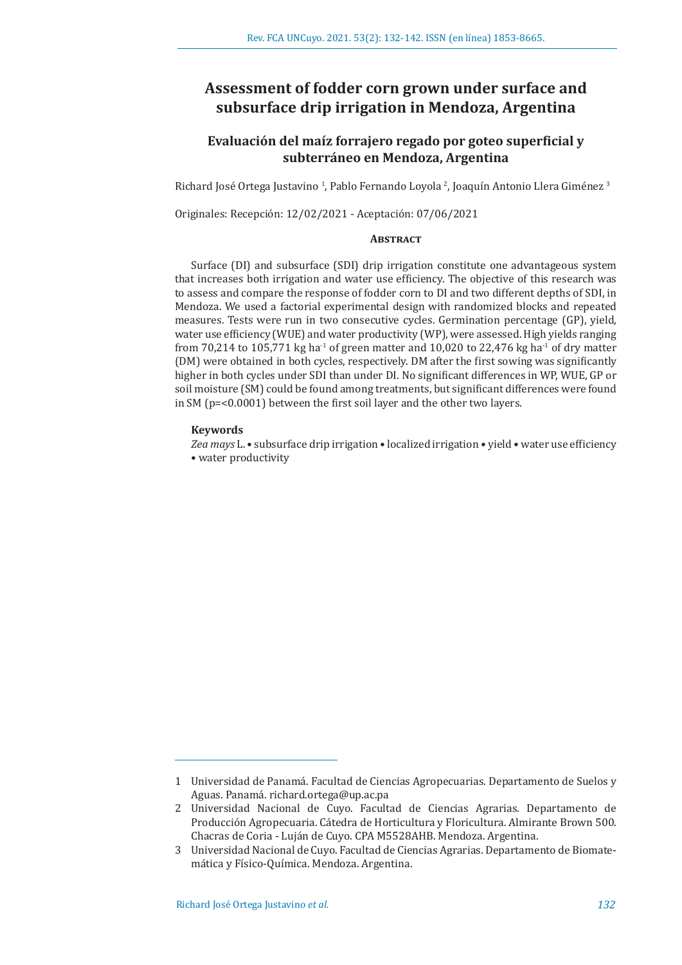# **Assessment of fodder corn grown under surface and subsurface drip irrigation in Mendoza, Argentina**

## **Evaluación del maíz forrajero regado por goteo superficial y subterráneo en Mendoza, Argentina**

Richard José Ortega Justavino <sup>1</sup>, Pablo Fernando Loyola <sup>2</sup>, Joaquín Antonio Llera Giménez <sup>3</sup>

Originales: Recepción: 12/02/2021 - Aceptación: 07/06/2021

## **ABSTRACT**

Surface (DI) and subsurface (SDI) drip irrigation constitute one advantageous system that increases both irrigation and water use efficiency. The objective of this research was to assess and compare the response of fodder corn to DI and two different depths of SDI, in Mendoza. We used a factorial experimental design with randomized blocks and repeated measures. Tests were run in two consecutive cycles. Germination percentage (GP), yield, water use efficiency (WUE) and water productivity (WP), were assessed. High yields ranging from 70,214 to 105,771 kg ha<sup>-1</sup> of green matter and 10,020 to 22,476 kg ha<sup>-1</sup> of dry matter (DM) were obtained in both cycles, respectively. DM after the first sowing was significantly higher in both cycles under SDI than under DI. No significant differences in WP, WUE, GP or soil moisture (SM) could be found among treatments, but significant differences were found in SM (p=<0.0001) between the first soil layer and the other two layers.

## **Keywords**

*Zea mays* L. • subsurface drip irrigation • localized irrigation • yield • water use efficiency • water productivity

<sup>1</sup> Universidad de Panamá. Facultad de Ciencias Agropecuarias. Departamento de Suelos y Aguas. Panamá. richard.ortega@up.ac.pa

<sup>2</sup> Universidad Nacional de Cuyo. Facultad de Ciencias Agrarias. Departamento de Producción Agropecuaria. Cátedra de Horticultura y Floricultura. Almirante Brown 500. Chacras de Coria - Luján de Cuyo. CPA M5528AHB. Mendoza. Argentina.

<sup>3</sup> Universidad Nacional de Cuyo. Facultad de Ciencias Agrarias. Departamento de Biomatemática y Físico-Química. Mendoza. Argentina.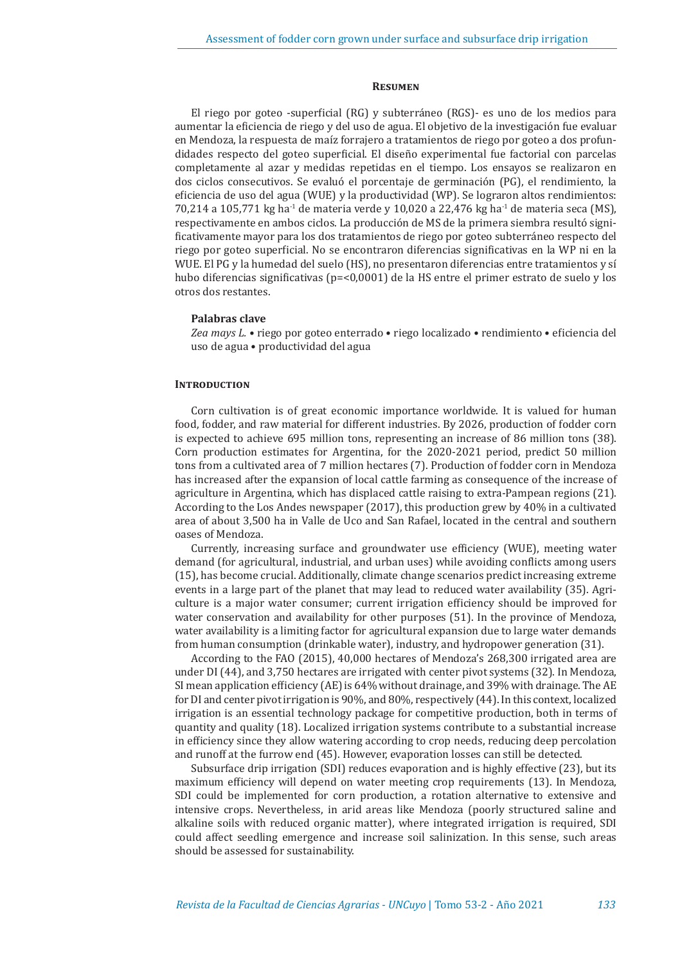## **Resumen**

El riego por goteo -superficial (RG) y subterráneo (RGS)- es uno de los medios para aumentar la eficiencia de riego y del uso de agua. El objetivo de la investigación fue evaluar en Mendoza, la respuesta de maíz forrajero a tratamientos de riego por goteo a dos profundidades respecto del goteo superficial. El diseño experimental fue factorial con parcelas completamente al azar y medidas repetidas en el tiempo. Los ensayos se realizaron en dos ciclos consecutivos. Se evaluó el porcentaje de germinación (PG), el rendimiento, la eficiencia de uso del agua (WUE) y la productividad (WP). Se lograron altos rendimientos: 70,214 a 105,771 kg ha<sup>-1</sup> de materia verde y 10,020 a 22,476 kg ha<sup>-1</sup> de materia seca (MS), respectivamente en ambos ciclos. La producción de MS de la primera siembra resultó significativamente mayor para los dos tratamientos de riego por goteo subterráneo respecto del riego por goteo superficial. No se encontraron diferencias significativas en la WP ni en la WUE. El PG y la humedad del suelo (HS), no presentaron diferencias entre tratamientos y sí hubo diferencias significativas (p=<0,0001) de la HS entre el primer estrato de suelo y los otros dos restantes.

### **Palabras clave**

*Zea mays L. •* riego por goteo enterrado • riego localizado • rendimiento • eficiencia del uso de agua • productividad del agua

## **INTRODUCTION**

Corn cultivation is of great economic importance worldwide. It is valued for human food, fodder, and raw material for different industries. By 2026, production of fodder corn is expected to achieve 695 million tons, representing an increase of 86 million tons (38). Corn production estimates for Argentina, for the 2020-2021 period, predict 50 million tons from a cultivated area of 7 million hectares (7). Production of fodder corn in Mendoza has increased after the expansion of local cattle farming as consequence of the increase of agriculture in Argentina, which has displaced cattle raising to extra-Pampean regions (21). According to the Los Andes newspaper (2017), this production grew by 40% in a cultivated area of about 3,500 ha in Valle de Uco and San Rafael, located in the central and southern oases of Mendoza.

Currently, increasing surface and groundwater use efficiency (WUE), meeting water demand (for agricultural, industrial, and urban uses) while avoiding conflicts among users (15), has become crucial. Additionally, climate change scenarios predict increasing extreme events in a large part of the planet that may lead to reduced water availability (35). Agriculture is a major water consumer; current irrigation efficiency should be improved for water conservation and availability for other purposes (51). In the province of Mendoza, water availability is a limiting factor for agricultural expansion due to large water demands from human consumption (drinkable water), industry, and hydropower generation (31).

According to the FAO (2015), 40,000 hectares of Mendoza's 268,300 irrigated area are under DI (44), and 3,750 hectares are irrigated with center pivot systems (32). In Mendoza, SI mean application efficiency (AE) is 64% without drainage, and 39% with drainage. The AE for DI and center pivot irrigation is 90%, and 80%, respectively (44). In this context, localized irrigation is an essential technology package for competitive production, both in terms of quantity and quality (18). Localized irrigation systems contribute to a substantial increase in efficiency since they allow watering according to crop needs, reducing deep percolation and runoff at the furrow end (45). However, evaporation losses can still be detected.

Subsurface drip irrigation (SDI) reduces evaporation and is highly effective (23), but its maximum efficiency will depend on water meeting crop requirements (13). In Mendoza, SDI could be implemented for corn production, a rotation alternative to extensive and intensive crops. Nevertheless, in arid areas like Mendoza (poorly structured saline and alkaline soils with reduced organic matter), where integrated irrigation is required, SDI could affect seedling emergence and increase soil salinization. In this sense, such areas should be assessed for sustainability.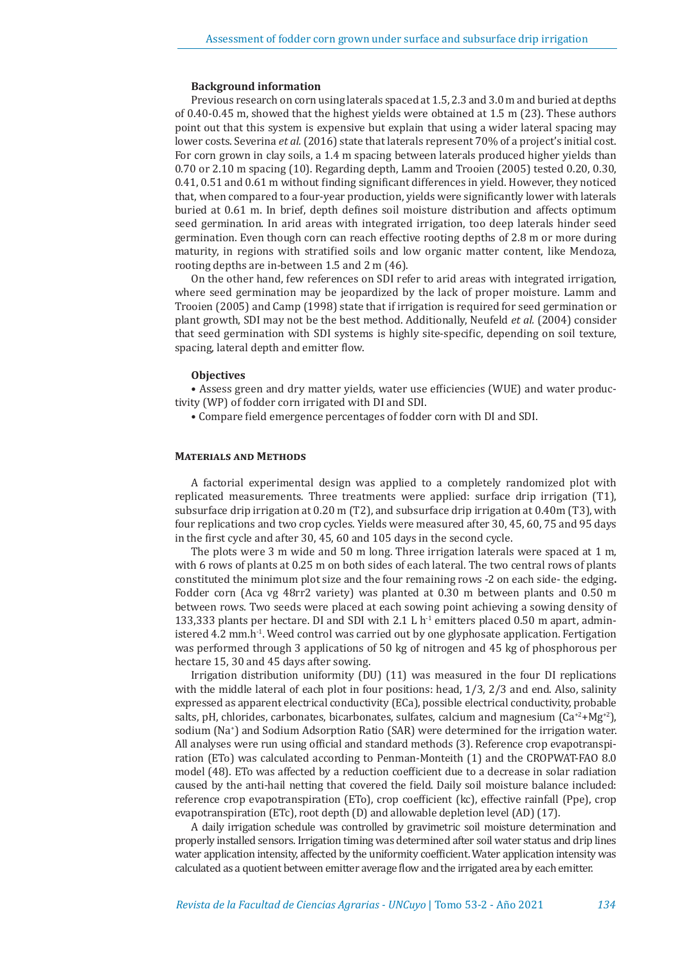#### **Background information**

Previous research on corn using laterals spaced at 1.5, 2.3 and 3.0 m and buried at depths of 0.40-0.45 m, showed that the highest yields were obtained at 1.5 m (23). These authors point out that this system is expensive but explain that using a wider lateral spacing may lower costs. Severina *et al.* (2016) state that laterals represent 70% of a project's initial cost. For corn grown in clay soils, a 1.4 m spacing between laterals produced higher yields than 0.70 or 2.10 m spacing (10). Regarding depth, Lamm and Trooien (2005) tested 0.20, 0.30, 0.41, 0.51 and 0.61 m without finding significant differences in yield. However, they noticed that, when compared to a four-year production, yields were significantly lower with laterals buried at 0.61 m. In brief, depth defines soil moisture distribution and affects optimum seed germination. In arid areas with integrated irrigation, too deep laterals hinder seed germination. Even though corn can reach effective rooting depths of 2.8 m or more during maturity, in regions with stratified soils and low organic matter content, like Mendoza, rooting depths are in-between 1.5 and 2 m (46).

On the other hand, few references on SDI refer to arid areas with integrated irrigation, where seed germination may be jeopardized by the lack of proper moisture. Lamm and Trooien (2005) and Camp (1998) state that if irrigation is required for seed germination or plant growth, SDI may not be the best method. Additionally, Neufeld *et al.* (2004) consider that seed germination with SDI systems is highly site-specific, depending on soil texture, spacing, lateral depth and emitter flow.

#### **Objectives**

• Assess green and dry matter yields, water use efficiencies (WUE) and water productivity (WP) of fodder corn irrigated with DI and SDI.

• Compare field emergence percentages of fodder corn with DI and SDI.

## **Materials and Methods**

A factorial experimental design was applied to a completely randomized plot with replicated measurements. Three treatments were applied: surface drip irrigation (T1), subsurface drip irrigation at 0.20 m (T2), and subsurface drip irrigation at 0.40m (T3), with four replications and two crop cycles. Yields were measured after 30, 45, 60, 75 and 95 days in the first cycle and after 30, 45, 60 and 105 days in the second cycle.

The plots were 3 m wide and 50 m long. Three irrigation laterals were spaced at 1 m, with 6 rows of plants at 0.25 m on both sides of each lateral. The two central rows of plants constituted the minimum plot size and the four remaining rows -2 on each side- the edging**.** Fodder corn (Aca vg 48rr2 variety) was planted at 0.30 m between plants and 0.50 m between rows. Two seeds were placed at each sowing point achieving a sowing density of 133,333 plants per hectare. DI and SDI with 2.1 L  $h<sup>-1</sup>$  emitters placed 0.50 m apart, administered 4.2 mm.h<sup>-1</sup>. Weed control was carried out by one glyphosate application. Fertigation was performed through 3 applications of 50 kg of nitrogen and 45 kg of phosphorous per hectare 15, 30 and 45 days after sowing.

Irrigation distribution uniformity (DU) (11) was measured in the four DI replications with the middle lateral of each plot in four positions: head, 1/3, 2/3 and end. Also, salinity expressed as apparent electrical conductivity (ECa), possible electrical conductivity, probable salts, pH, chlorides, carbonates, bicarbonates, sulfates, calcium and magnesium  $(Ca^{2}+Mg^{2})$ , sodium (Na+ ) and Sodium Adsorption Ratio (SAR) were determined for the irrigation water. All analyses were run using official and standard methods (3). Reference crop evapotranspiration (ETo) was calculated according to Penman-Monteith (1) and the CROPWAT-FAO 8.0 model (48). ETo was affected by a reduction coefficient due to a decrease in solar radiation caused by the anti-hail netting that covered the field. Daily soil moisture balance included: reference crop evapotranspiration (ETo), crop coefficient (kc), effective rainfall (Ppe), crop evapotranspiration (ETc), root depth (D) and allowable depletion level (AD) (17).

A daily irrigation schedule was controlled by gravimetric soil moisture determination and properly installed sensors. Irrigation timing was determined after soil water status and drip lines water application intensity, affected by the uniformity coefficient. Water application intensity was calculated as a quotient between emitter average flow and the irrigated area by each emitter.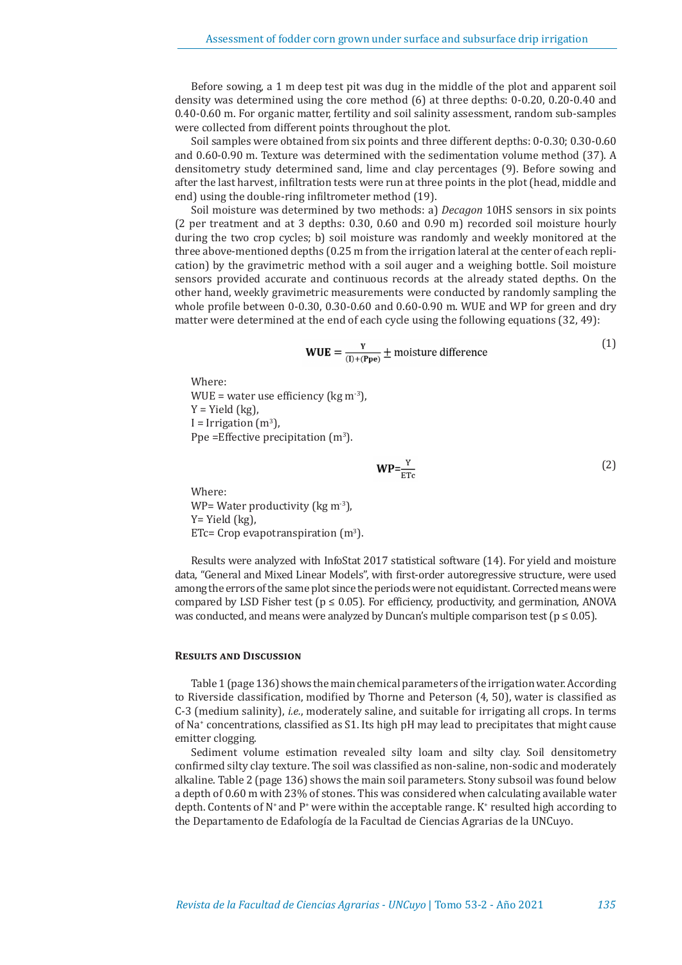Before sowing, a 1 m deep test pit was dug in the middle of the plot and apparent soil density was determined using the core method (6) at three depths: 0-0.20, 0.20-0.40 and 0.40-0.60 m. For organic matter, fertility and soil salinity assessment, random sub-samples were collected from different points throughout the plot.

Soil samples were obtained from six points and three different depths: 0-0.30; 0.30-0.60 and 0.60-0.90 m. Texture was determined with the sedimentation volume method (37). A densitometry study determined sand, lime and clay percentages (9). Before sowing and after the last harvest, infiltration tests were run at three points in the plot (head, middle and end) using the double-ring infiltrometer method (19).

Soil moisture was determined by two methods: a) *Decagon* 10HS sensors in six points (2 per treatment and at 3 depths: 0.30, 0.60 and 0.90 m) recorded soil moisture hourly during the two crop cycles; b) soil moisture was randomly and weekly monitored at the three above-mentioned depths (0.25 m from the irrigation lateral at the center of each replication) by the gravimetric method with a soil auger and a weighing bottle. Soil moisture sensors provided accurate and continuous records at the already stated depths. On the other hand, weekly gravimetric measurements were conducted by randomly sampling the whole profile between 0-0.30, 0.30-0.60 and 0.60-0.90 m. WUE and WP for green and dry matter were determined at the end of each cycle using the following equations (32, 49):

**WUE** = 
$$
\frac{Y}{(I)+(Ppe)} \pm
$$
 moisture difference

Where: WUE = water use efficiency ( $kg \text{ m}$ <sup>-3</sup>),  $Y = Yield (kg)$ ,  $I = Irrigation (m<sup>3</sup>)$ , Ppe = Effective precipitation  $(m^3)$ .

$$
WP = \frac{Y}{FTc}
$$
 (2)

Where: WP= Water productivity (kg m<sup>-3</sup>), Y= Yield (kg),  $ETc = Crop$  evapotranspiration  $(m<sup>3</sup>)$ .

Results were analyzed with InfoStat 2017 statistical software (14). For yield and moisture data, "General and Mixed Linear Models", with first-order autoregressive structure, were used among the errors of the same plot since the periods were not equidistant. Corrected means were compared by LSD Fisher test ( $p \le 0.05$ ). For efficiency, productivity, and germination, ANOVA was conducted, and means were analyzed by Duncan's multiple comparison test ( $p \le 0.05$ ).

#### **Results and Discussion**

Table 1 (page 136) shows the main chemical parameters of the irrigation water. According to Riverside classification, modified by Thorne and Peterson (4, 50), water is classified as C-3 (medium salinity), *i.e.*, moderately saline, and suitable for irrigating all crops. In terms of Na+ concentrations, classified as S1. Its high pH may lead to precipitates that might cause emitter clogging.

Sediment volume estimation revealed silty loam and silty clay. Soil densitometry confirmed silty clay texture. The soil was classified as non-saline, non-sodic and moderately alkaline. Table 2 (page 136) shows the main soil parameters. Stony subsoil was found below a depth of 0.60 m with 23% of stones. This was considered when calculating available water depth. Contents of N<sup>+</sup> and P<sup>+</sup> were within the acceptable range. K<sup>+</sup> resulted high according to the Departamento de Edafología de la Facultad de Ciencias Agrarias de la UNCuyo.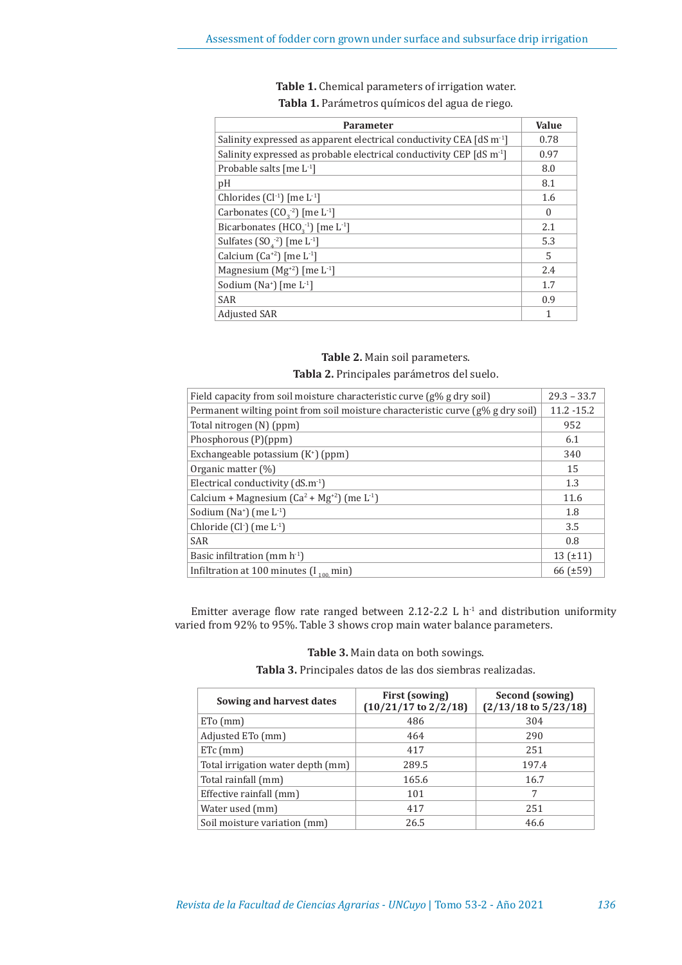| Table 1. Chemical parameters of irrigation water. |
|---------------------------------------------------|
| Tabla 1. Parámetros químicos del agua de riego.   |

| <b>Parameter</b>                                                                 | Value    |
|----------------------------------------------------------------------------------|----------|
| Salinity expressed as apparent electrical conductivity CEA [dS m <sup>-1</sup> ] | 0.78     |
| Salinity expressed as probable electrical conductivity CEP $[dS \, m^{-1}]$      | 0.97     |
| Probable salts [me $L^1$ ]                                                       | 8.0      |
| pH                                                                               | 8.1      |
| Chlorides $(Cl^{-1})$ [me $L^{-1}$ ]                                             | 1.6      |
| Carbonates $(CO22)$ [me L <sup>-1</sup> ]                                        | $\Omega$ |
| Bicarbonates (HCO <sub>2</sub> <sup>-1</sup> ) [me $L$ <sup>-1</sup> ]           | 2.1      |
| Sulfates $(SO4-2)$ [me L <sup>-1</sup> ]                                         | 5.3      |
| Calcium $(Ca^{2})$ [me L <sup>-1</sup> ]                                         | 5        |
| Magnesium $(Mg^{2})$ [me L <sup>-1</sup> ]                                       | 2.4      |
| Sodium (Na <sup>+</sup> ) [me $L-1$ ]                                            | 1.7      |
| <b>SAR</b>                                                                       | 0.9      |
| <b>Adjusted SAR</b>                                                              | 1        |

## **Table 2.** Main soil parameters. **Tabla 2.** Principales parámetros del suelo.

| Field capacity from soil moisture characteristic curve $(g\% g drv \text{ soil})$ | $29.3 - 33.7$ |
|-----------------------------------------------------------------------------------|---------------|
| Permanent wilting point from soil moisture characteristic curve (g% g dry soil)   | $11.2 - 15.2$ |
| Total nitrogen (N) (ppm)                                                          | 952           |
| Phosphorous (P)(ppm)                                                              | 6.1           |
| Exchangeable potassium $(K^+)$ (ppm)                                              | 340           |
| Organic matter (%)                                                                | 15            |
| Electrical conductivity $(dS.m^{-1})$                                             | 1.3           |
| Calcium + Magnesium $(Ca2 + Mg+2)$ (me L <sup>-1</sup> )                          | 11.6          |
| Sodium (Na <sup>+</sup> ) (me $L^{-1}$ )                                          | 1.8           |
| Chloride $(Cl1)$ (me $L-1$ )                                                      | 3.5           |
| <b>SAR</b>                                                                        | 0.8           |
| Basic infiltration (mm $h^{-1}$ )                                                 | $13(+11)$     |
| Infiltration at 100 minutes $(I_{100}$ min)                                       | 66(f±59)      |

Emitter average flow rate ranged between 2.12-2.2 L  $h<sup>-1</sup>$  and distribution uniformity varied from 92% to 95%. Table 3 shows crop main water balance parameters.

**Table 3.** Main data on both sowings.

**Tabla 3.** Principales datos de las dos siembras realizadas.

| Sowing and harvest dates          | First (sowing)<br>$(10/21/17$ to $2/2/18)$ | Second (sowing)<br>$(2/13/18$ to $5/23/18$ |
|-----------------------------------|--------------------------------------------|--------------------------------------------|
| $ETo$ (mm)                        | 486                                        | 304                                        |
| Adjusted ETo (mm)                 | 464                                        | 290                                        |
| $ETc$ (mm)                        | 417                                        | 251                                        |
| Total irrigation water depth (mm) | 289.5                                      | 197.4                                      |
| Total rainfall (mm)               | 165.6                                      | 16.7                                       |
| Effective rainfall (mm)           | 101                                        | 7                                          |
| Water used (mm)                   | 417                                        | 251                                        |
| Soil moisture variation (mm)      | 26.5                                       | 46.6                                       |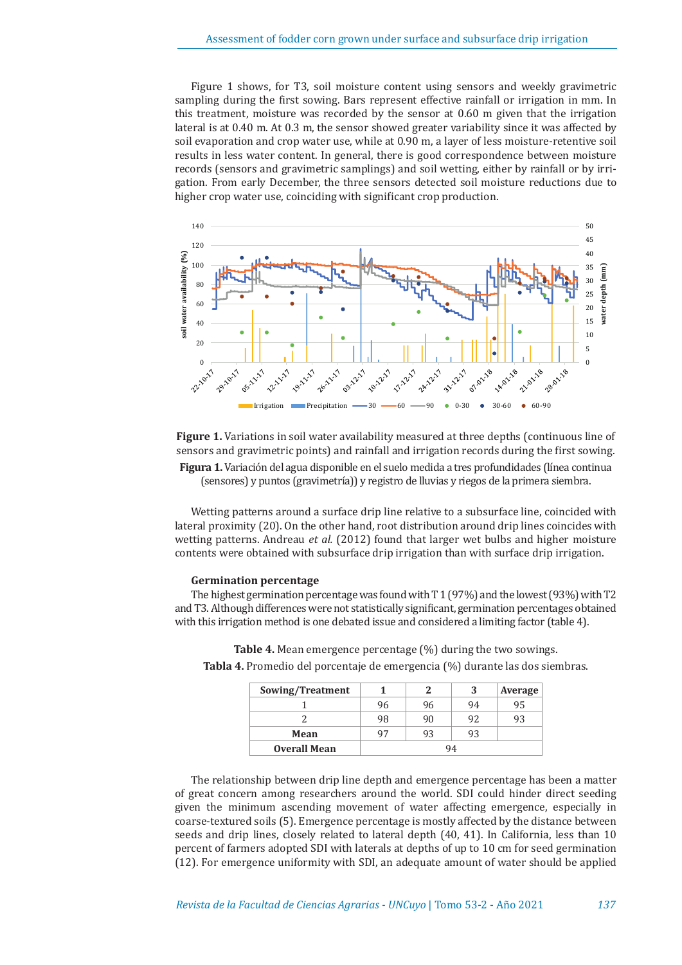Figure 1 shows, for T3, soil moisture content using sensors and weekly gravimetric sampling during the first sowing. Bars represent effective rainfall or irrigation in mm. In this treatment, moisture was recorded by the sensor at 0.60 m given that the irrigation lateral is at 0.40 m. At 0.3 m, the sensor showed greater variability since it was affected by soil evaporation and crop water use, while at 0.90 m, a layer of less moisture-retentive soil results in less water content. In general, there is good correspondence between moisture records (sensors and gravimetric samplings) and soil wetting, either by rainfall or by irrigation. From early December, the three sensors detected soil moisture reductions due to higher crop water use, coinciding with significant crop production.



**Figure 1.** Variations in soil water availability measured at three depths (continuous line of sensors and gravimetric points) and rainfall and irrigation records during the first sowing. **Figura 1.** Variación del agua disponible en el suelo medida a tres profundidades (línea continua (sensores) y puntos (gravimetría)) y registro de lluvias y riegos de la primera siembra.

Wetting patterns around a surface drip line relative to a subsurface line, coincided with lateral proximity (20). On the other hand, root distribution around drip lines coincides with wetting patterns. Andreau *et al.* (2012) found that larger wet bulbs and higher moisture contents were obtained with subsurface drip irrigation than with surface drip irrigation.

## **Germination percentage**

The highest germination percentage was found with T 1 (97%) and the lowest (93%) with T2 and T3. Although differences were not statistically significant, germination percentages obtained with this irrigation method is one debated issue and considered a limiting factor (table 4).

| Sowing/Treatment    |    |    | 3  | Average |
|---------------------|----|----|----|---------|
|                     | 96 | 96 | 94 | 95      |
|                     | 98 | 90 | 92 | 93      |
| Mean                | 97 | 93 | 93 |         |
| <b>Overall Mean</b> |    |    |    |         |

**Table 4.** Mean emergence percentage (%) during the two sowings. **Tabla 4.** Promedio del porcentaje de emergencia (%) durante las dos siembras.

The relationship between drip line depth and emergence percentage has been a matter of great concern among researchers around the world. SDI could hinder direct seeding given the minimum ascending movement of water affecting emergence, especially in coarse-textured soils (5). Emergence percentage is mostly affected by the distance between seeds and drip lines, closely related to lateral depth (40, 41). In California, less than 10 percent of farmers adopted SDI with laterals at depths of up to 10 cm for seed germination (12). For emergence uniformity with SDI, an adequate amount of water should be applied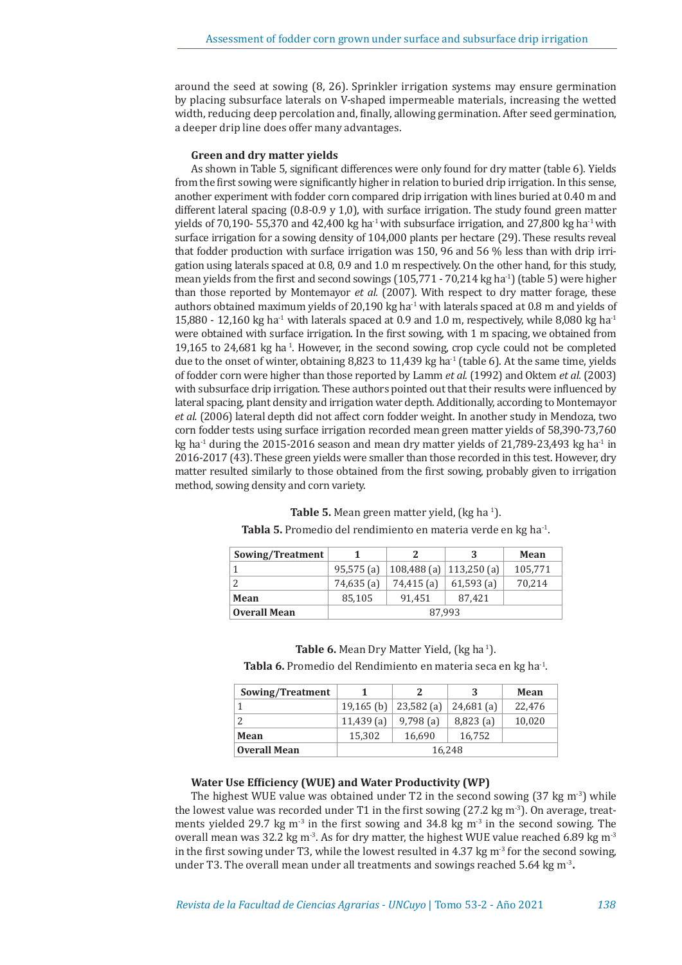around the seed at sowing (8, 26). Sprinkler irrigation systems may ensure germination by placing subsurface laterals on V-shaped impermeable materials, increasing the wetted width, reducing deep percolation and, finally, allowing germination. After seed germination, a deeper drip line does offer many advantages.

## **Green and dry matter yields**

As shown in Table 5, significant differences were only found for dry matter (table 6). Yields from the first sowing were significantly higher in relation to buried drip irrigation. In this sense, another experiment with fodder corn compared drip irrigation with lines buried at 0.40 m and different lateral spacing  $(0.8-0.9 \text{ y } 1,0)$ , with surface irrigation. The study found green matter yields of 70,190- 55,370 and 42,400 kg ha<sup>-1</sup> with subsurface irrigation, and 27,800 kg ha<sup>-1</sup> with surface irrigation for a sowing density of 104,000 plants per hectare (29). These results reveal that fodder production with surface irrigation was 150, 96 and 56 % less than with drip irrigation using laterals spaced at 0.8, 0.9 and 1.0 m respectively. On the other hand, for this study, mean yields from the first and second sowings  $(105,771 - 70,214 \text{ kg ha}^{-1})$  (table 5) were higher than those reported by Montemayor *et al.* (2007). With respect to dry matter forage, these authors obtained maximum yields of 20,190 kg ha $^{-1}$  with laterals spaced at 0.8 m and yields of 15,880 - 12,160 kg ha<sup>-1</sup> with laterals spaced at 0.9 and 1.0 m, respectively, while 8,080 kg ha<sup>-1</sup> were obtained with surface irrigation. In the first sowing, with 1 m spacing, we obtained from 19,165 to 24,681 kg ha 1. However, in the second sowing, crop cycle could not be completed due to the onset of winter, obtaining  $8,823$  to  $11,439$  kg ha<sup>-1</sup> (table 6). At the same time, yields of fodder corn were higher than those reported by Lamm *et al.* (1992) and Oktem *et al.* (2003) with subsurface drip irrigation. These authors pointed out that their results were influenced by lateral spacing, plant density and irrigation water depth. Additionally, according to Montemayor *et al.* (2006) lateral depth did not affect corn fodder weight. In another study in Mendoza, two corn fodder tests using surface irrigation recorded mean green matter yields of 58,390-73,760 kg ha<sup>-1</sup> during the 2015-2016 season and mean dry matter yields of 21,789-23,493 kg ha<sup>-1</sup> in 2016-2017 (43). These green yields were smaller than those recorded in this test. However, dry matter resulted similarly to those obtained from the first sowing, probably given to irrigation method, sowing density and corn variety.

| Sowing/Treatment    |              | 2                         | 3            | <b>Mean</b> |
|---------------------|--------------|---------------------------|--------------|-------------|
|                     | $95,575$ (a) | 108,488 (a)   113,250 (a) |              | 105,771     |
|                     | 74,635 (a)   | 74,415 (a)                | $61,593$ (a) | 70,214      |
| Mean                | 85,105       | 91.451                    | 87.421       |             |
| <b>Overall Mean</b> | 87.993       |                           |              |             |

**Table 5.** Mean green matter yield, (kg ha <sup>1</sup>).

**Tabla 5.** Promedio del rendimiento en materia verde en kg ha-1.

**Table 6.** Mean Dry Matter Yield, (kg ha<sup>1</sup>).

**Tabla 6.** Promedio del Rendimiento en materia seca en kg ha-1.

| Sowing/Treatment    |              |              | ર            | <b>Mean</b> |
|---------------------|--------------|--------------|--------------|-------------|
|                     | $19,165$ (b) | $23,582$ (a) | $24,681$ (a) | 22.476      |
|                     | $11,439$ (a) | $9,798$ (a)  | $8,823$ (a)  | 10,020      |
| Mean                | 15.302       | 16,690       | 16,752       |             |
| <b>Overall Mean</b> | 16,248       |              |              |             |

## **Water Use Efficiency (WUE) and Water Productivity (WP)**

The highest WUE value was obtained under T2 in the second sowing  $(37 \text{ kg m}^3)$  while the lowest value was recorded under T1 in the first sowing  $(27.2 \text{ kg m}^3)$ . On average, treatments yielded 29.7 kg m<sup>-3</sup> in the first sowing and 34.8 kg m<sup>-3</sup> in the second sowing. The overall mean was 32.2 kg m<sup>-3</sup>. As for dry matter, the highest WUE value reached 6.89 kg m<sup>-3</sup> in the first sowing under T3, while the lowest resulted in 4.37 kg  $m<sup>3</sup>$  for the second sowing, under T3. The overall mean under all treatments and sowings reached 5.64 kg m-3**.**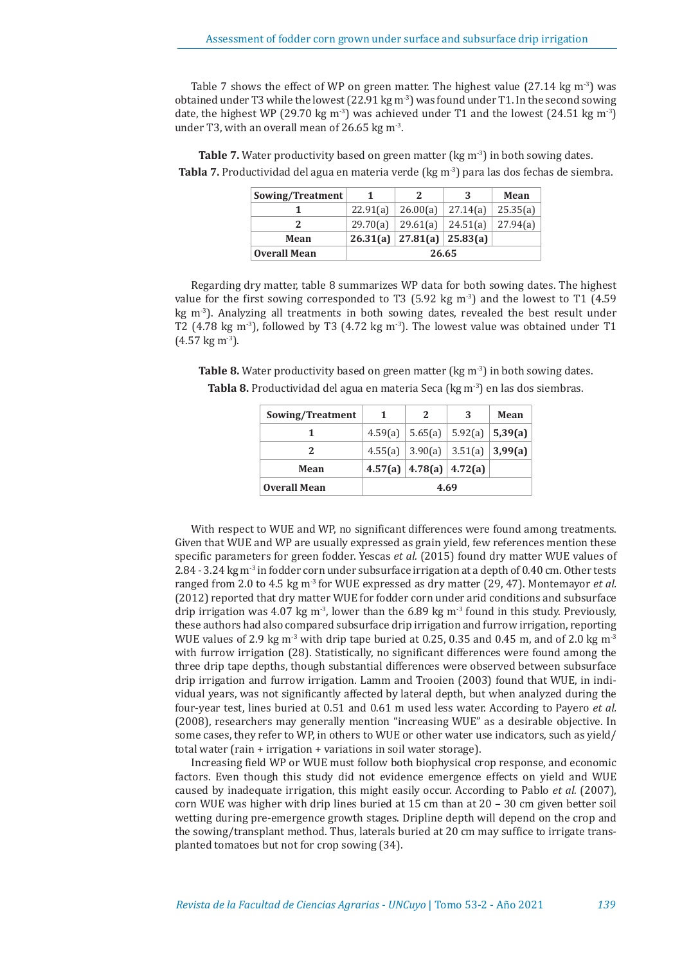Table 7 shows the effect of WP on green matter. The highest value (27.14 kg  $\text{m}^3$ ) was obtained under T3 while the lowest  $(22.91 \text{ kg m}^{-3})$  was found under T1. In the second sowing date, the highest WP (29.70 kg m<sup>-3</sup>) was achieved under T1 and the lowest (24.51 kg m<sup>-3</sup>) under T3, with an overall mean of 26.65 kg m<sup>-3</sup>.

**Table 7.** Water productivity based on green matter (kg m<sup>-3</sup>) in both sowing dates. **Tabla 7.** Productividad del agua en materia verde (kg m-3) para las dos fechas de siembra.

| Sowing/Treatment    |          |                                | 3        | Mean     |
|---------------------|----------|--------------------------------|----------|----------|
|                     | 22.91(a) | 26.00(a)                       | 27.14(a) | 25.35(a) |
| 2                   |          | 29.70(a)   29.61(a)   24.51(a) |          | 27.94(a) |
| Mean                |          | 26.31(a)   27.81(a)   25.83(a) |          |          |
| <b>Overall Mean</b> | 26.65    |                                |          |          |

Regarding dry matter, table 8 summarizes WP data for both sowing dates. The highest value for the first sowing corresponded to T3 (5.92 kg m<sup>-3</sup>) and the lowest to T1 (4.59) kg  $m<sup>-3</sup>$ ). Analyzing all treatments in both sowing dates, revealed the best result under T2 (4.78 kg m<sup>-3</sup>), followed by T3 (4.72 kg m<sup>-3</sup>). The lowest value was obtained under T1  $(4.57 \text{ kg m}^3)$ .

**Table 8.** Water productivity based on green matter (kg m<sup>-3</sup>) in both sowing dates.

| Sowing/Treatment    | -1   | <sup>2</sup>                | 3                                     | Mean |
|---------------------|------|-----------------------------|---------------------------------------|------|
|                     |      |                             | 4.59(a)   5.65(a)   5.92(a)   5.39(a) |      |
|                     |      |                             | 4.55(a) $ 3.90(a) 3.51(a) 3.99(a)$    |      |
| Mean                |      | 4.57(a)   4.78(a)   4.72(a) |                                       |      |
| <b>Overall Mean</b> | 4.69 |                             |                                       |      |

**Tabla 8.** Productividad del agua en materia Seca (kg m<sup>-3</sup>) en las dos siembras.

With respect to WUE and WP, no significant differences were found among treatments. Given that WUE and WP are usually expressed as grain yield, few references mention these specific parameters for green fodder. Yescas *et al.* (2015) found dry matter WUE values of 2.84 - 3.24 kg m<sup>-3</sup> in fodder corn under subsurface irrigation at a depth of 0.40 cm. Other tests ranged from 2.0 to 4.5 kg m-3 for WUE expressed as dry matter (29, 47). Montemayor *et al.* (2012) reported that dry matter WUE for fodder corn under arid conditions and subsurface drip irrigation was 4.07 kg m<sup>-3</sup>, lower than the 6.89 kg m<sup>-3</sup> found in this study. Previously, these authors had also compared subsurface drip irrigation and furrow irrigation, reporting WUE values of 2.9 kg m<sup>-3</sup> with drip tape buried at 0.25, 0.35 and 0.45 m, and of 2.0 kg m<sup>-3</sup> with furrow irrigation (28). Statistically, no significant differences were found among the three drip tape depths, though substantial differences were observed between subsurface drip irrigation and furrow irrigation. Lamm and Trooien (2003) found that WUE, in individual years, was not significantly affected by lateral depth, but when analyzed during the four-year test, lines buried at 0.51 and 0.61 m used less water. According to Payero *et al.* (2008), researchers may generally mention "increasing WUE" as a desirable objective. In some cases, they refer to WP, in others to WUE or other water use indicators, such as yield/ total water (rain + irrigation + variations in soil water storage).

Increasing field WP or WUE must follow both biophysical crop response, and economic factors. Even though this study did not evidence emergence effects on yield and WUE caused by inadequate irrigation, this might easily occur. According to Pablo *et al.* (2007), corn WUE was higher with drip lines buried at 15 cm than at 20 – 30 cm given better soil wetting during pre-emergence growth stages. Dripline depth will depend on the crop and the sowing/transplant method. Thus, laterals buried at 20 cm may suffice to irrigate transplanted tomatoes but not for crop sowing (34).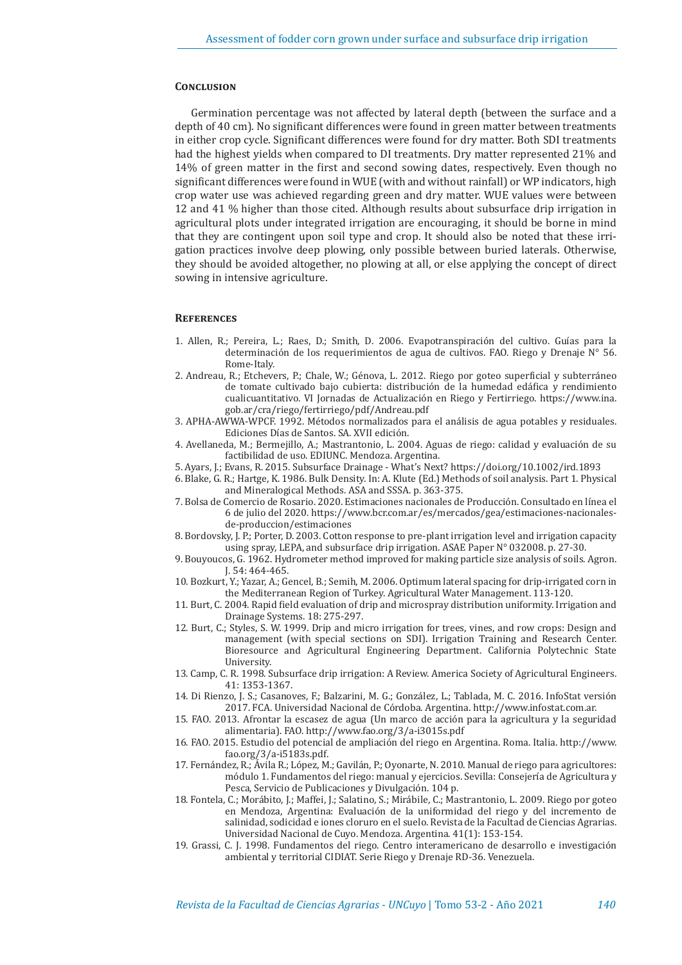## **Conclusion**

Germination percentage was not affected by lateral depth (between the surface and a depth of 40 cm). No significant differences were found in green matter between treatments in either crop cycle. Significant differences were found for dry matter. Both SDI treatments had the highest yields when compared to DI treatments. Dry matter represented 21% and 14% of green matter in the first and second sowing dates, respectively. Even though no significant differences were found in WUE (with and without rainfall) or WP indicators, high crop water use was achieved regarding green and dry matter. WUE values were between 12 and 41 % higher than those cited. Although results about subsurface drip irrigation in agricultural plots under integrated irrigation are encouraging, it should be borne in mind that they are contingent upon soil type and crop. It should also be noted that these irrigation practices involve deep plowing, only possible between buried laterals. Otherwise, they should be avoided altogether, no plowing at all, or else applying the concept of direct sowing in intensive agriculture.

## **References**

- 1. Allen, R.; Pereira, L.; Raes, D.; Smith, D. 2006. Evapotranspiración del cultivo. Guías para la determinación de los requerimientos de agua de cultivos. FAO. Riego y Drenaje N° 56. Rome-Italy.
- 2. Andreau, R.; Etchevers, P.; Chale, W.; Génova, L. 2012. Riego por goteo superficial y subterráneo de tomate cultivado bajo cubierta: distribución de la humedad edáfica y rendimiento cualicuantitativo. VI Jornadas de Actualización en Riego y Fertirriego. https://www.ina. gob.ar/cra/riego/fertirriego/pdf/Andreau.pdf
- 3. APHA-AWWA-WPCF. 1992. Métodos normalizados para el análisis de agua potables y residuales. Ediciones Días de Santos. SA. XVII edición.
- 4. Avellaneda, M.; Bermejillo, A.; Mastrantonio, L. 2004. Aguas de riego: calidad y evaluación de su factibilidad de uso. EDIUNC. Mendoza. Argentina.
- 5. Ayars, J.; Evans, R. 2015. Subsurface Drainage What's Next? https://doi.org/10.1002/ird.1893
- 6. Blake, G. R.; Hartge, K. 1986. Bulk Density. In: A. Klute (Ed.) Methods of soil analysis. Part 1. Physical and Mineralogical Methods. ASA and SSSA. p. 363-375.
- 7. Bolsa de Comercio de Rosario. 2020. Estimaciones nacionales de Producción. Consultado en línea el 6 de julio del 2020. https://www.bcr.com.ar/es/mercados/gea/estimaciones-nacionalesde-produccion/estimaciones
- 8. Bordovsky, J. P.; Porter, D. 2003. Cotton response to pre-plant irrigation level and irrigation capacity using spray, LEPA, and subsurface drip irrigation. ASAE Paper N° 032008. p. 27-30.
- 9. Bouyoucos, G. 1962. Hydrometer method improved for making particle size analysis of soils. Agron. J. 54: 464-465.
- 10. Bozkurt, Y.; Yazar, A.; Gencel, B.; Semih, M. 2006. Optimum lateral spacing for drip-irrigated corn in the Mediterranean Region of Turkey. Agricultural Water Management. 113-120.
- 11. Burt, C. 2004. Rapid field evaluation of drip and microspray distribution uniformity. Irrigation and Drainage Systems. 18: 275-297.
- 12. Burt, C.; Styles, S. W. 1999. Drip and micro irrigation for trees, vines, and row crops: Design and management (with special sections on SDI). Irrigation Training and Research Center. Bioresource and Agricultural Engineering Department. California Polytechnic State University.
- 13. Camp, C. R. 1998. Subsurface drip irrigation: A Review. America Society of Agricultural Engineers. 41: 1353-1367.
- 14. Di Rienzo, J. S.; Casanoves, F.; Balzarini, M. G.; González, L.; Tablada, M. C. 2016. InfoStat versión 2017. FCA. Universidad Nacional de Córdoba. Argentina. http://www.infostat.com.ar.
- 15. FAO. 2013. Afrontar la escasez de agua (Un marco de acción para la agricultura y la seguridad alimentaria). FAO. http://www.fao.org/3/a-i3015s.pdf
- 16. FAO. 2015. Estudio del potencial de ampliación del riego en Argentina. Roma. Italia. http://www. fao.org/3/a-i5183s.pdf.
- 17. Fernández, R.; Ávila R.; López, M.; Gavilán, P.; Oyonarte, N. 2010. Manual de riego para agricultores: módulo 1. Fundamentos del riego: manual y ejercicios. Sevilla: Consejería de Agricultura y Pesca, Servicio de Publicaciones y Divulgación. 104 p.
- 18. Fontela, C.; Morábito, J.; Maffei, J.; Salatino, S.; Mirábile, C.; Mastrantonio, L. 2009. Riego por goteo en Mendoza, Argentina: Evaluación de la uniformidad del riego y del incremento de salinidad, sodicidad e iones cloruro en el suelo. Revista de la Facultad de Ciencias Agrarias. Universidad Nacional de Cuyo. Mendoza. Argentina. 41(1): 153-154.
- 19. Grassi, C. J. 1998. Fundamentos del riego. Centro interamericano de desarrollo e investigación ambiental y territorial CIDIAT. Serie Riego y Drenaje RD-36. Venezuela.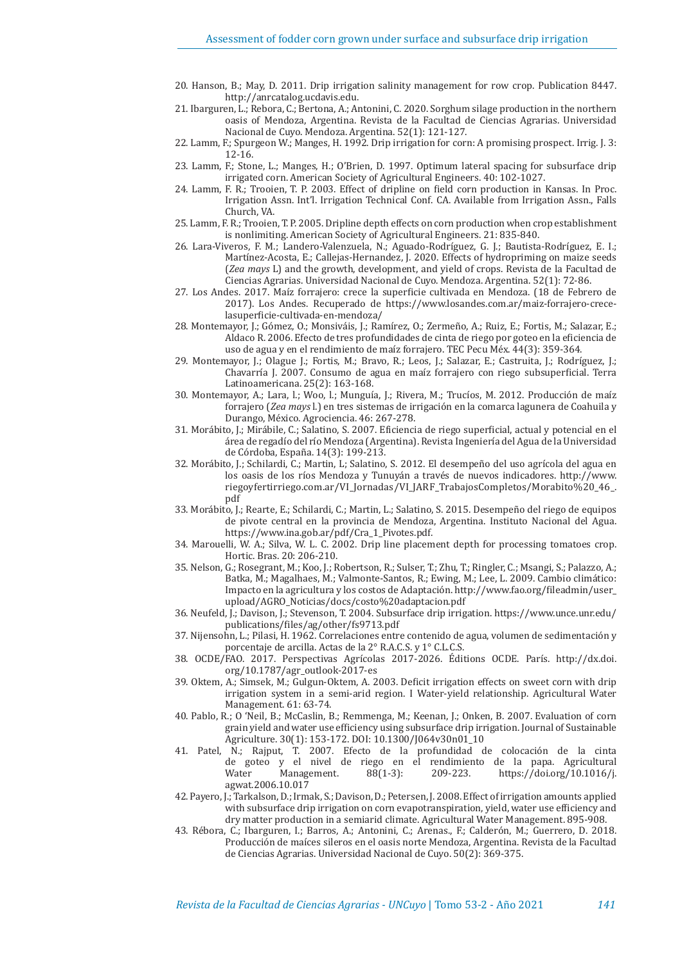- 20. Hanson, B.; May, D. 2011. Drip irrigation salinity management for row crop. Publication 8447. http://anrcatalog.ucdavis.edu.
- 21. Ibarguren, L.; Rebora, C.; Bertona, A.; Antonini, C. 2020. Sorghum silage production in the northern oasis of Mendoza, Argentina. Revista de la Facultad de Ciencias Agrarias. Universidad Nacional de Cuyo. Mendoza. Argentina. 52(1): 121-127.
- 22. Lamm, F.; Spurgeon W.; Manges, H. 1992. Drip irrigation for corn: A promising prospect. Irrig. J. 3: 12-16.
- 23. Lamm, F.; Stone, L.; Manges, H.; O'Brien, D. 1997. Optimum lateral spacing for subsurface drip irrigated corn. American Society of Agricultural Engineers. 40: 102-1027.
- 24. Lamm, F. R.; Trooien, T. P. 2003. Effect of dripline on field corn production in Kansas. In Proc. Irrigation Assn. Int'l. Irrigation Technical Conf. CA. Available from Irrigation Assn., Falls Church, VA.
- 25. Lamm, F. R.; Trooien, T. P. 2005. Dripline depth effects on corn production when crop establishment is nonlimiting. American Society of Agricultural Engineers. 21: 835-840.
- 26. Lara-Viveros, F. M.; Landero-Valenzuela, N.; Aguado-Rodríguez, G. J.; Bautista-Rodríguez, E. I.; Martínez-Acosta, E.; Callejas-Hernandez, J. 2020. Effects of hydropriming on maize seeds (*Zea mays* L) and the growth, development, and yield of crops. Revista de la Facultad de Ciencias Agrarias. Universidad Nacional de Cuyo. Mendoza. Argentina. 52(1): 72-86.
- 27. Los Andes. 2017. Maíz forrajero: crece la superficie cultivada en Mendoza. (18 de Febrero de 2017). Los Andes. Recuperado de https://www.losandes.com.ar/maiz-forrajero-crecelasuperficie-cultivada-en-mendoza/
- 28. Montemayor, J.; Gómez, O.; Monsiváis, J.; Ramírez, O.; Zermeño, A.; Ruiz, E.; Fortis, M.; Salazar, E.; Aldaco R. 2006. Efecto de tres profundidades de cinta de riego por goteo en la eficiencia de uso de agua y en el rendimiento de maíz forrajero. TEC Pecu Méx. 44(3): 359-364.
- 29. Montemayor, J.; Olague J.; Fortis, M.; Bravo, R.; Leos, J.; Salazar, E.; Castruita, J.; Rodríguez, J.; Chavarría J. 2007. Consumo de agua en maíz forrajero con riego subsuperficial. Terra Latinoamericana. 25(2): 163-168.
- 30. Montemayor, A.; Lara, l.; Woo, l.; Munguía, J.; Rivera, M.; Trucíos, M. 2012. Producción de maíz forrajero (*Zea mays* l.) en tres sistemas de irrigación en la comarca lagunera de Coahuila y Durango, México. Agrociencia. 46: 267-278.
- 31. Morábito, J.; Mirábile, C.; Salatino, S. 2007. Eficiencia de riego superficial, actual y potencial en el área de regadío del río Mendoza (Argentina). Revista Ingeniería del Agua de la Universidad de Córdoba, España. 14(3): 199-213.
- 32. Morábito, J.; Schilardi, C.; Martin, L; Salatino, S. 2012. El desempeño del uso agrícola del agua en los oasis de los ríos Mendoza y Tunuyán a través de nuevos indicadores. http://www. riegoyfertirriego.com.ar/VI\_Jornadas/VI\_JARF\_TrabajosCompletos/Morabito%20\_46\_. pdf
- 33. Morábito, J.; Rearte, E.; Schilardi, C.; Martin, L.; Salatino, S. 2015. Desempeño del riego de equipos de pivote central en la provincia de Mendoza, Argentina. Instituto Nacional del Agua. https://www.ina.gob.ar/pdf/Cra\_1\_Pivotes.pdf.
- 34. Marouelli, W. A.; Silva, W. L. C. 2002. Drip line placement depth for processing tomatoes crop. Hortic. Bras. 20: 206-210.
- 35. Nelson, G.; Rosegrant, M.; Koo, J.; Robertson, R.; Sulser, T.; Zhu, T.; Ringler, C.; Msangi, S.; Palazzo, A.; Batka, M.; Magalhaes, M.; Valmonte-Santos, R.; Ewing, M.; Lee, L. 2009. Cambio climático: Impacto en la agricultura y los costos de Adaptación. http://www.fao.org/fileadmin/user\_ upload/AGRO\_Noticias/docs/costo%20adaptacion.pdf
- 36. Neufeld, J.; Davison, J.; Stevenson, T. 2004. Subsurface drip irrigation. https://www.unce.unr.edu/ publications/files/ag/other/fs9713.pdf
- 37. Nijensohn, L.; Pilasi, H. 1962. Correlaciones entre contenido de agua, volumen de sedimentación y porcentaje de arcilla. Actas de la 2° R.A.C.S. y 1° C.L.C.S.
- 38. OCDE/FAO. 2017. Perspectivas Agrícolas 2017-2026. Éditions OCDE. París. http://dx.doi. org/10.1787/agr\_outlook-2017-es
- 39. Oktem, A.; Simsek, M.; Gulgun-Oktem, A. 2003. Deficit irrigation effects on sweet corn with drip irrigation system in a semi-arid region. I Water-yield relationship. Agricultural Water Management. 61: 63-74.
- 40. Pablo, R.; O 'Neil, B.; McCaslin, B.; Remmenga, M.; Keenan, J.; Onken, B. 2007. Evaluation of corn grain yield and water use efficiency using subsurface drip irrigation. Journal of Sustainable Agriculture. 30(1): 153-172. DOI: 10.1300/J064v30n01\_10
- 41. Patel,  $\overline{N}$ .; Rajput,  $\overline{T}$ . 2007. Efecto de la profundidad de colocación de la cinta de goteo y el nivel de riego en el rendimiento de la papa. Agricultural de goteo y el nivel de riego en el rendimiento de la papa. Agricultural https://doi.org/10.1016/j. agwat.2006.10.017
- 42. Payero, J.; Tarkalson, D.; Irmak, S.; Davison, D.; Petersen, J. 2008. Effect of irrigation amounts applied with subsurface drip irrigation on corn evapotranspiration, yield, water use efficiency and dry matter production in a semiarid climate. Agricultural Water Management. 895-908.
- 43. Rébora, C.; Ibarguren, I.; Barros, A.; Antonini, C.; Arenas., F.; Calderón, M.; Guerrero, D. 2018. Producción de maíces sileros en el oasis norte Mendoza, Argentina. Revista de la Facultad de Ciencias Agrarias. Universidad Nacional de Cuyo. 50(2): 369-375.